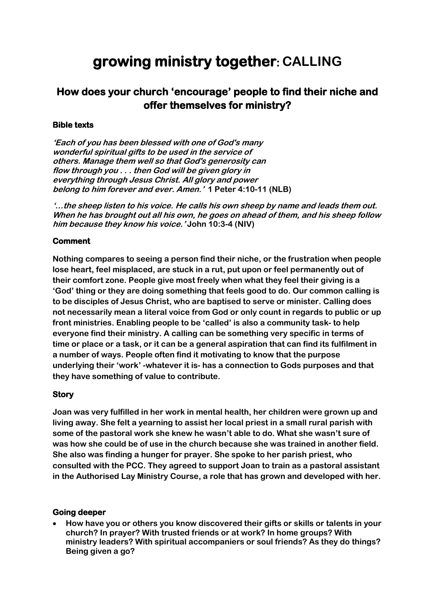# **growing ministry together: CALLING**

# **How does your church 'encourage' people to find their niche and offer themselves for ministry?**

#### **Bible texts**

**'Each of you has been blessed with one of God's many wonderful spiritual gifts to be used in the service of others. Manage them well so that God's generosity can flow through you . . . then God will be given glory in everything through Jesus Christ. All glory and power belong to him forever and ever. Amen.' 1 Peter 4:10-11 (NLB)**

**'…the sheep listen to his voice. He calls his own sheep by name and leads them out. When he has brought out all his own, he goes on ahead of them, and his sheep follow him because they know his voice.' John 10:3-4 (NIV)**

## **Comment**

**Nothing compares to seeing a person find their niche, or the frustration when people lose heart, feel misplaced, are stuck in a rut, put upon or feel permanently out of their comfort zone. People give most freely when what they feel their giving is a 'God' thing or they are doing something that feels good to do. Our common calling is to be disciples of Jesus Christ, who are baptised to serve or minister. Calling does not necessarily mean a literal voice from God or only count in regards to public or up front ministries. Enabling people to be 'called' is also a community task- to help everyone find their ministry. A calling can be something very specific in terms of time or place or a task, or it can be a general aspiration that can find its fulfilment in a number of ways. People often find it motivating to know that the purpose underlying their 'work' -whatever it is- has a connection to Gods purposes and that they have something of value to contribute.** 

#### **Story**

**Joan was very fulfilled in her work in mental health, her children were grown up and living away. She felt a yearning to assist her local priest in a small rural parish with some of the pastoral work she knew he wasn't able to do. What she wasn't sure of was how she could be of use in the church because she was trained in another field. She also was finding a hunger for prayer. She spoke to her parish priest, who consulted with the PCC. They agreed to support Joan to train as a pastoral assistant in the Authorised Lay Ministry Course, a role that has grown and developed with her.**

#### **Going deeper**

• **How have you or others you know discovered their gifts or skills or talents in your church? In prayer? With trusted friends or at work? In home groups? With ministry leaders? With spiritual accompaniers or soul friends? As they do things? Being given a go?**